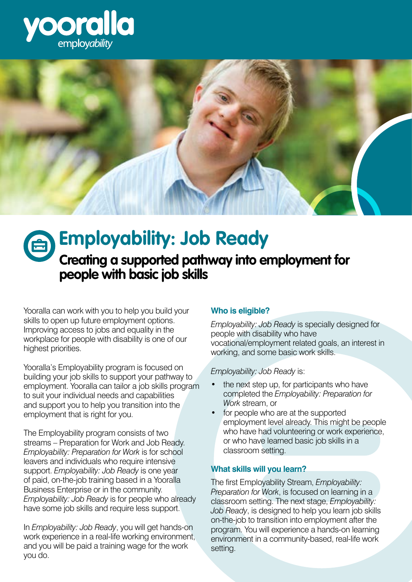



# **Creating a supported pathway into employment for people with basic job skills Employability: Job Ready**

Yooralla can work with you to help you build your skills to open up future employment options. Improving access to jobs and equality in the workplace for people with disability is one of our highest priorities.

Yooralla's Employability program is focused on building your job skills to support your pathway to employment. Yooralla can tailor a job skills program to suit your individual needs and capabilities and support you to help you transition into the employment that is right for you.

The Employability program consists of two streams – Preparation for Work and Job Ready. *Employability: Preparation for Work* is for school leavers and individuals who require intensive support. *Employability: Job Ready* is one year of paid, on-the-job training based in a Yooralla Business Enterprise or in the community. *Employability: Job Ready* is for people who already have some job skills and require less support.

In *Employability: Job Ready*, you will get hands-on work experience in a real-life working environment, and you will be paid a training wage for the work you do.

## **Who is eligible?**

*Employability: Job Ready* is specially designed for people with disability who have vocational/employment related goals, an interest in working, and some basic work skills.

*Employability: Job Ready* is:

- the next step up, for participants who have completed the *Employability: Preparation for Work* stream, or
- for people who are at the supported employment level already. This might be people who have had volunteering or work experience, or who have learned basic job skills in a classroom setting.

## **What skills will you learn?**

The first Employability Stream, *Employability: Preparation for Work*, is focused on learning in a classroom setting. The next stage, *Employability: Job Ready*, is designed to help you learn job skills on-the-job to transition into employment after the program. You will experience a hands-on learning environment in a community-based, real-life work setting.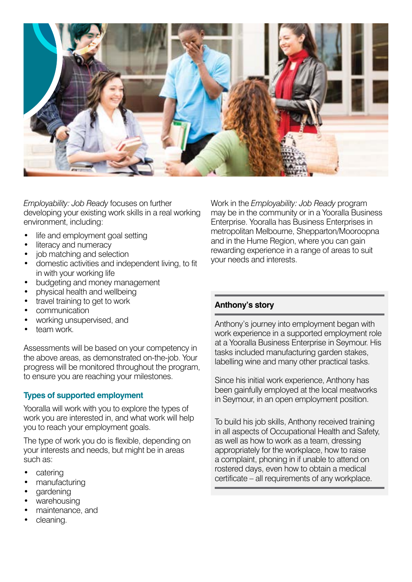

*Employability: Job Ready* focuses on further developing your existing work skills in a real working environment, including:

- life and employment goal setting
- literacy and numeracy
- job matching and selection
- domestic activities and independent living, to fit in with your working life
- budgeting and money management
- physical health and wellbeing
- travel training to get to work
- communication
- working unsupervised, and
- team work.

Assessments will be based on your competency in the above areas, as demonstrated on-the-job. Your progress will be monitored throughout the program, to ensure you are reaching your milestones.

## **Types of supported employment**

Yooralla will work with you to explore the types of work you are interested in, and what work will help you to reach your employment goals.

The type of work you do is flexible, depending on your interests and needs, but might be in areas such as:

- catering
- manufacturing
- gardening
- warehousing
- maintenance, and
- cleaning.

Work in the *Employability: Job Ready* program may be in the community or in a Yooralla Business Enterprise. Yooralla has Business Enterprises in metropolitan Melbourne, Shepparton/Mooroopna and in the Hume Region, where you can gain rewarding experience in a range of areas to suit your needs and interests.

## **Anthony's story**

Anthony's journey into employment began with work experience in a supported employment role at a Yooralla Business Enterprise in Seymour. His tasks included manufacturing garden stakes, labelling wine and many other practical tasks.

Since his initial work experience, Anthony has been gainfully employed at the local meatworks in Seymour, in an open employment position.

To build his job skills, Anthony received training in all aspects of Occupational Health and Safety, as well as how to work as a team, dressing appropriately for the workplace, how to raise a complaint, phoning in if unable to attend on rostered days, even how to obtain a medical certificate – all requirements of any workplace.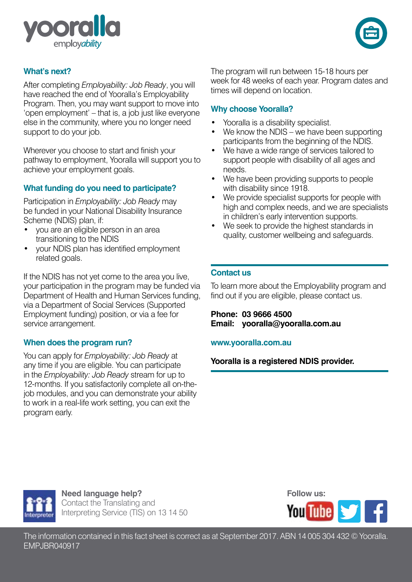



## **What's next?**

After completing *Employability: Job Ready*, you will have reached the end of Yooralla's Employability Program. Then, you may want support to move into 'open employment' – that is, a job just like everyone else in the community, where you no longer need support to do your job.

Wherever you choose to start and finish your pathway to employment, Yooralla will support you to achieve your employment goals.

#### **What funding do you need to participate?**

Participation in *Employability: Job Ready* may be funded in your National Disability Insurance Scheme (NDIS) plan, if:

- you are an eligible person in an area transitioning to the NDIS
- your NDIS plan has identified employment related goals.

If the NDIS has not yet come to the area you live, your participation in the program may be funded via Department of Health and Human Services funding, via a Department of Social Services (Supported Employment funding) position, or via a fee for service arrangement.

#### **When does the program run?**

You can apply for *Employability: Job Ready* at any time if you are eligible. You can participate in the *Employability: Job Ready* stream for up to 12-months. If you satisfactorily complete all on-thejob modules, and you can demonstrate your ability to work in a real-life work setting, you can exit the program early.

The program will run between 15-18 hours per week for 48 weeks of each year. Program dates and times will depend on location.

#### **Why choose Yooralla?**

- Yooralla is a disability specialist.
- We know the NDIS we have been supporting participants from the beginning of the NDIS.
- We have a wide range of services tailored to support people with disability of all ages and needs.
- We have been providing supports to people with disability since 1918.
- We provide specialist supports for people with high and complex needs, and we are specialists in children's early intervention supports.
- We seek to provide the highest standards in quality, customer wellbeing and safeguards.

#### **Contact us**

To learn more about the Employability program and find out if you are eligible, please contact us.

**Phone: 03 9666 4500 Email: yooralla@yooralla.com.au** 

#### **www.yooralla.com.au**

**Yooralla is a registered NDIS provider.**



**Need language help?** Contact the Translating and Interpreting Service (TIS) on 13 14 50

**Follow us:**



The information contained in this fact sheet is correct as at September 2017. ABN 14 005 304 432 © Yooralla. EMPJBR040917